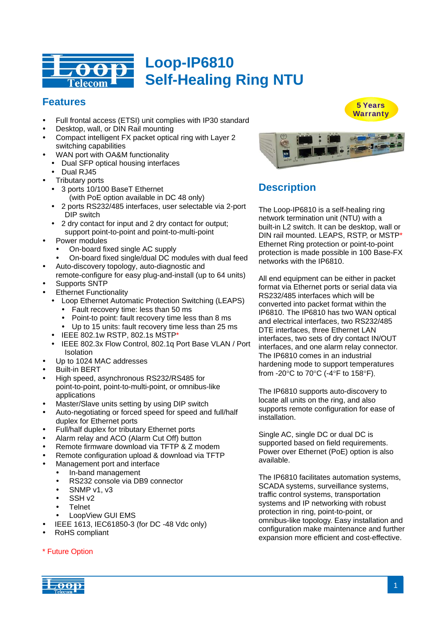

# **Features**

- Full frontal access (ETSI) unit complies with IP30 standard
- Desktop, wall, or DIN Rail mounting
- Compact intelligent FX packet optical ring with Layer 2 switching capabilities
- y WAN port with OA&M functionality
- Dual SFP optical housing interfaces
- Dual RJ45
- **Tributary ports**
- 3 ports 10/100 BaseT Ethernet (with PoE option available in DC 48 only)
- 2 ports RS232/485 interfaces, user selectable via 2-port DIP switch
- 2 dry contact for input and 2 dry contact for output; support point-to-point and point-to-multi-point
- Power modules
	- On-board fixed single AC supply
	- On-board fixed single/dual DC modules with dual feed
- Auto-discovery topology, auto-diagnostic and
- remote-configure for easy plug-and-install (up to 64 units)
- Supports SNTP
- **Ethernet Functionality** 
	- Loop Ethernet Automatic Protection Switching (LEAPS) Fault recovery time: less than 50 ms
		- Point-to point: fault recovery time less than 8 ms
		- Up to 15 units: fault recovery time less than 25 ms
	- $\cdot$  IEEE 802.1w RSTP, 802.1s MSTP\*
	- y IEEE 802.3x Flow Control, 802.1q Port Base VLAN / Port **Isolation**
- Up to 1024 MAC addresses
- **Built-in BERT**
- High speed, asynchronous RS232/RS485 for point-to-point, point-to-multi-point, or omnibus-like applications
- Master/Slave units setting by using DIP switch
- Auto-negotiating or forced speed for speed and full/half duplex for Ethernet ports
- Full/half duplex for tributary Ethernet ports
- Alarm relay and ACO (Alarm Cut Off) button
- Remote firmware download via TFTP & Z modem
- Remote configuration upload & download via TFTP
- Management port and interface
	- In-band management
	- RS232 console via DB9 connector
	- $\cdot$  SNMP v1, v3
	- $\cdot$  SSH v2
	- **Telnet**
	- LoopView GUI EMS
- y IEEE 1613, IEC61850-3 (for DC -48 Vdc only)
- RoHS compliant

## \* Future Option





# **Description**

The Loop-IP6810 is a self-healing ring network termination unit (NTU) with a built-in L2 switch. It can be desktop, wall or DIN rail mounted. LEAPS, RSTP, or MSTP\* Ethernet Ring protection or point-to-point protection is made possible in 100 Base-FX networks with the IP6810.

All end equipment can be either in packet format via Ethernet ports or serial data via RS232/485 interfaces which will be converted into packet format within the IP6810. The IP6810 has two WAN optical and electrical interfaces, two RS232/485 DTE interfaces, three Ethernet LAN interfaces, two sets of dry contact IN/OUT interfaces, and one alarm relay connector. The IP6810 comes in an industrial hardening mode to support temperatures from -20°C to 70°C (-4°F to 158°F).

The IP6810 supports auto-discovery to locate all units on the ring, and also supports remote configuration for ease of installation.

Single AC, single DC or dual DC is supported based on field requirements. Power over Ethernet (PoE) option is also available.

The IP6810 facilitates automation systems, SCADA systems, surveillance systems, traffic control systems, transportation systems and IP networking with robust protection in ring, point-to-point, or omnibus-like topology. Easy installation and configuration make maintenance and further expansion more efficient and cost-effective.

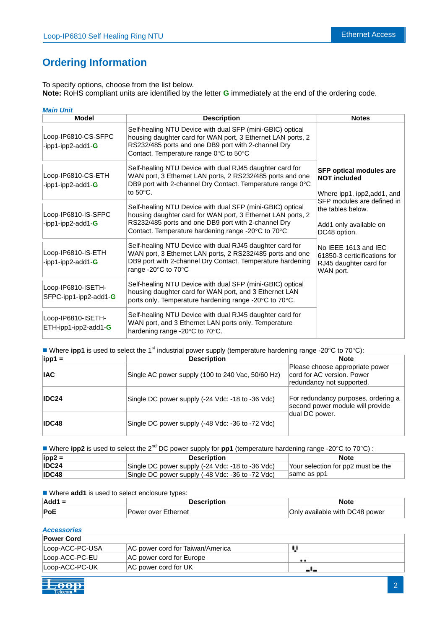# **Ordering Information**

To specify options, choose from the list below. **Note:** RoHS compliant units are identified by the letter **G** immediately at the end of the ordering code.

| <b>Main Unit</b>                            |                                                                                                                                                                                                                                       |                                                                                                                                                                                          |  |
|---------------------------------------------|---------------------------------------------------------------------------------------------------------------------------------------------------------------------------------------------------------------------------------------|------------------------------------------------------------------------------------------------------------------------------------------------------------------------------------------|--|
| <b>Model</b>                                | <b>Description</b>                                                                                                                                                                                                                    | <b>Notes</b>                                                                                                                                                                             |  |
| Loop-IP6810-CS-SFPC<br>-ipp1-ipp2-add1-G    | Self-healing NTU Device with dual SFP (mini-GBIC) optical<br>housing daughter card for WAN port, 3 Ethernet LAN ports, 2<br>RS232/485 ports and one DB9 port with 2-channel Dry<br>Contact. Temperature range 0°C to 50°C             |                                                                                                                                                                                          |  |
| Loop-IP6810-CS-ETH<br>-ipp1-ipp2-add1-G     | Self-healing NTU Device with dual RJ45 daughter card for<br>WAN port, 3 Ethernet LAN ports, 2 RS232/485 ports and one<br>DB9 port with 2-channel Dry Contact. Temperature range 0°C<br>to $50^{\circ}$ C.                             | <b>SFP optical modules are</b><br><b>NOT included</b><br>Where ipp1, ipp2, add1, and                                                                                                     |  |
| Loop-IP6810-IS-SFPC<br>-ipp1-ipp2-add1-G    | Self-healing NTU Device with dual SFP (mini-GBIC) optical<br>housing daughter card for WAN port, 3 Ethernet LAN ports, 2<br>RS232/485 ports and one DB9 port with 2-channel Dry<br>Contact. Temperature hardening range -20°C to 70°C | SFP modules are defined in<br>the tables below.<br>Add1 only available on<br>DC48 option.<br>No IEEE 1613 and IEC<br>61850-3 certicifications for<br>RJ45 daughter card for<br>WAN port. |  |
| Loop-IP6810-IS-ETH<br>-ipp1-ipp2-add1-G     | Self-healing NTU Device with dual RJ45 daughter card for<br>WAN port, 3 Ethernet LAN ports, 2 RS232/485 ports and one<br>DB9 port with 2-channel Dry Contact. Temperature hardening<br>range -20°C to 70°C                            |                                                                                                                                                                                          |  |
| Loop-IP6810-ISETH-<br>SFPC-ipp1-ipp2-add1-G | Self-healing NTU Device with dual SFP (mini-GBIC) optical<br>housing daughter card for WAN port, and 3 Ethernet LAN<br>ports only. Temperature hardening range -20°C to 70°C.                                                         |                                                                                                                                                                                          |  |
| Loop-IP6810-ISETH-<br>ETH-ipp1-ipp2-add1-G  | Self-healing NTU Device with dual RJ45 daughter card for<br>WAN port, and 3 Ethernet LAN ports only. Temperature<br>hardening range -20°C to 70°C.                                                                                    |                                                                                                                                                                                          |  |

Where **ipp1** is used to select the 1<sup>st</sup> industrial power supply (temperature hardening range -20 $^{\circ}$ C to 70 $^{\circ}$ C):

| $ $ ipp1 =   | <b>Description</b>                                | <b>Note</b>                                                                                |  |
|--------------|---------------------------------------------------|--------------------------------------------------------------------------------------------|--|
| <b>IAC</b>   | Single AC power supply (100 to 240 Vac, 50/60 Hz) | Please choose appropriate power<br>cord for AC version. Power<br>redundancy not supported. |  |
| IDC24        | Single DC power supply (-24 Vdc: -18 to -36 Vdc)  | For redundancy purposes, ordering a<br>second power module will provide                    |  |
| <b>IDC48</b> | Single DC power supply (-48 Vdc: -36 to -72 Vdc)  | dual DC power.                                                                             |  |

■ Where **ipp2** is used to select the 2<sup>nd</sup> DC power supply for **pp1** (temperature hardening range -20°C to 70°C) :

| $ $ ipp2 = | <b>Description</b>                               | <b>Note</b>                        |
|------------|--------------------------------------------------|------------------------------------|
| IDC24      | Single DC power supply (-24 Vdc: -18 to -36 Vdc) | Your selection for pp2 must be the |
| IDC48      | Single DC power supply (-48 Vdc: -36 to -72 Vdc) | same as pp1                        |

■ Where **add1** is used to select enclosure types:

| $Add1 =$ | Description         | Note                           |
|----------|---------------------|--------------------------------|
| PoE      | Power over Ethernet | Only available with DC48 power |

## *Accessories*

| <b>Power Cord</b> |                                  |     |
|-------------------|----------------------------------|-----|
| Loop-ACC-PC-USA   | AC power cord for Taiwan/America |     |
| Loop-ACC-PC-EU    | AC power cord for Europe         | . . |
| Loop-ACC-PC-UK    | AC power cord for UK             |     |

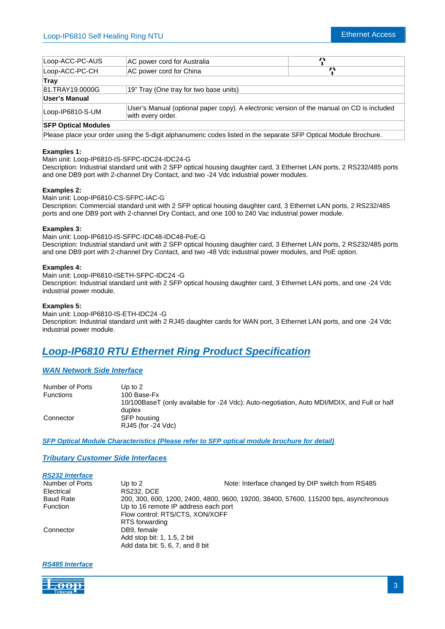| Loop-ACC-PC-AUS            | AC power cord for Australia                                                                                    |  |  |
|----------------------------|----------------------------------------------------------------------------------------------------------------|--|--|
| Loop-ACC-PC-CH             | AC power cord for China                                                                                        |  |  |
| Trav                       |                                                                                                                |  |  |
| 81.TRAY19,0000G            | 19" Tray (One tray for two base units)                                                                         |  |  |
| <b>User's Manual</b>       |                                                                                                                |  |  |
| Loop-IP6810-S-UM           | User's Manual (optional paper copy). A electronic version of the manual on CD is included<br>with every order. |  |  |
| <b>SFP Optical Modules</b> |                                                                                                                |  |  |

Please place your order using the 5-digit alphanumeric codes listed in the separate SFP Optical Module Brochure.

## **Examples 1:**

Main unit: Loop-IP6810-IS-SFPC-IDC24-IDC24-G

Description: Industrial standard unit with 2 SFP optical housing daughter card, 3 Ethernet LAN ports, 2 RS232/485 ports and one DB9 port with 2-channel Dry Contact, and two -24 Vdc industrial power modules.

## **Examples 2:**

Main unit: Loop-IP6810-CS-SFPC-IAC-G Description: Commercial standard unit with 2 SFP optical housing daughter card, 3 Ethernet LAN ports, 2 RS232/485 ports and one DB9 port with 2-channel Dry Contact, and one 100 to 240 Vac industrial power module.

## **Examples 3:**

Main unit: Loop-IP6810-IS-SFPC-IDC48-IDC48-PoE-G Description: Industrial standard unit with 2 SFP optical housing daughter card, 3 Ethernet LAN ports, 2 RS232/485 ports and one DB9 port with 2-channel Dry Contact, and two -48 Vdc industrial power modules, and PoE option.

## **Examples 4:**

Main unit: Loop-IP6810-ISETH-SFPC-IDC24 -G Description: Industrial standard unit with 2 SFP optical housing daughter card, 3 Ethernet LAN ports, and one -24 Vdc industrial power module.

## **Examples 5:**

Main unit: Loop-IP6810-IS-ETH-IDC24 -G Description: Industrial standard unit with 2 RJ45 daughter cards for WAN port, 3 Ethernet LAN ports, and one -24 Vdc industrial power module.

# *Loop-IP6810 RTU Ethernet Ring Product Specification*

## *WAN Network Side Interface*

| Number of Ports  | Up to $2$                                                                                             |
|------------------|-------------------------------------------------------------------------------------------------------|
| <b>Functions</b> | 100 Base-Fx                                                                                           |
|                  | 10/100BaseT (only available for -24 Vdc): Auto-negotiation, Auto MDI/MDIX, and Full or half<br>duplex |
| Connector        | SFP housing<br>RJ45 (for -24 Vdc)                                                                     |

*SFP Optical Module Characteristics (Please refer to SFP optical module brochure for detail)*

*Tributary Customer Side Interfaces*

| 200, 300, 600, 1200, 2400, 4800, 9600, 19200, 38400, 57600, 115200 bps, asynchronous |  |  |
|--------------------------------------------------------------------------------------|--|--|
|                                                                                      |  |  |
|                                                                                      |  |  |
|                                                                                      |  |  |
|                                                                                      |  |  |
| Add stop bit: 1, 1.5, 2 bit                                                          |  |  |
|                                                                                      |  |  |
| Note: Interface changed by DIP switch from RS485                                     |  |  |

## *RS485 Interface*

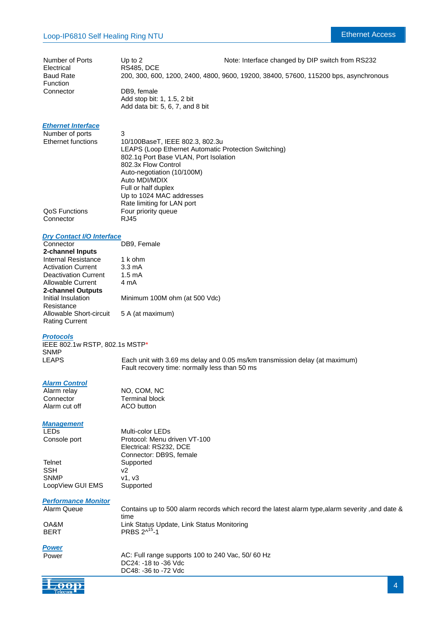| Number of Ports       | Up to $21$                                 | Note: Interface changed by DIP switch from RS232                                     |
|-----------------------|--------------------------------------------|--------------------------------------------------------------------------------------|
| Electrical            | <b>RS485, DCE</b>                          |                                                                                      |
| Baud Rate<br>Function |                                            | 200, 300, 600, 1200, 2400, 4800, 9600, 19200, 38400, 57600, 115200 bps, asynchronous |
| Connector             | DB9. female<br>Add stop bit: 1, 1.5, 2 bit |                                                                                      |

Add data bit: 5, 6, 7, and 8 bit

## *Ethernet Interface*

| 3                                                    |
|------------------------------------------------------|
| 10/100BaseT, IEEE 802.3, 802.3u                      |
| LEAPS (Loop Ethernet Automatic Protection Switching) |
| 802.1q Port Base VLAN, Port Isolation                |
| 802.3x Flow Control                                  |
| Auto-negotiation (10/100M)                           |
| Auto MDI/MDIX                                        |
| Full or half duplex                                  |
| Up to 1024 MAC addresses                             |
| Rate limiting for LAN port                           |
| Four priority queue                                  |
| RJ45                                                 |
|                                                      |

## *Dry Contact I/O Interface*

| Connector                   | DB9, Female                   |
|-----------------------------|-------------------------------|
| 2-channel Inputs            |                               |
| Internal Resistance         | 1 k ohm                       |
| <b>Activation Current</b>   | $3.3 \text{ mA}$              |
| <b>Deactivation Current</b> | $1.5 \text{ mA}$              |
| Allowable Current           | 4 mA                          |
| 2-channel Outputs           |                               |
| Initial Insulation          | Minimum 100M ohm (at 500 Vdc) |
| Resistance                  |                               |
| Allowable Short-circuit     | 5 A (at maximum)              |
| <b>Rating Current</b>       |                               |

## *Protocols*

IEEE 802.1w RSTP, 802.1s MSTP\* SNMP

LEAPS Each unit with 3.69 ms delay and 0.05 ms/km transmission delay (at maximum) Fault recovery time: normally less than 50 ms

# *Alarm Control*

Alarm cut off

Alarm relay **NO**, COM, NC<br>
Connector **Terminal block** Terminal block<br>ACO button

## *Management*

Console port

Telnet Supported SSH v2<br>SNMP v1 LoopView GUI EMS Supported

LEDs Multi-color LEDs Protocol: Menu driven VT-100 Electrical: RS232, DCE Connector: DB9S, female v1, v3

# *Performance Monitor*

Alarm Queue Contains up to 500 alarm records which record the latest alarm type,alarm severity ,and date & time OA&M Link Status Update, Link Status Monitoring BERT PRBS  $2^{\lambda^{15}}$ -1

*Power*

Power AC: Full range supports 100 to 240 Vac, 50/60 Hz DC24: -18 to -36 Vdc DC48: -36 to -72 Vdc

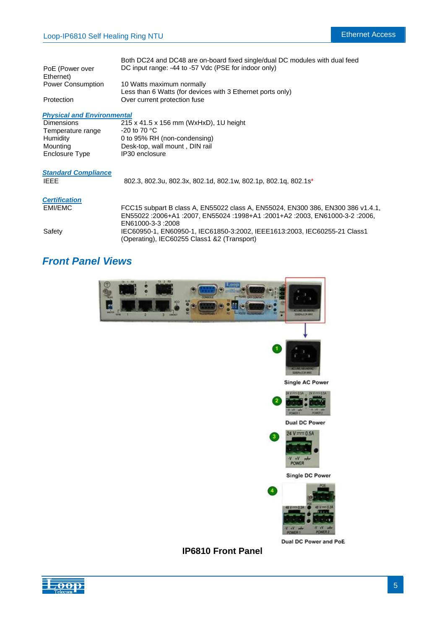|                                   | Both DC24 and DC48 are on-board fixed single/dual DC modules with dual feed |
|-----------------------------------|-----------------------------------------------------------------------------|
| PoE (Power over                   | DC input range: -44 to -57 Vdc (PSE for indoor only)                        |
| Ethernet)                         |                                                                             |
| <b>Power Consumption</b>          | 10 Watts maximum normally                                                   |
|                                   | Less than 6 Watts (for devices with 3 Ethernet ports only)                  |
| Protection                        | Over current protection fuse                                                |
|                                   |                                                                             |
| <b>Physical and Environmental</b> |                                                                             |

| <b>Dimensions</b> | 215 x 41.5 x 156 mm (WxHxD), 1U height |
|-------------------|----------------------------------------|
| Temperature range | -20 to 70 $^{\circ}$ C                 |
| Humidity          | 0 to 95% RH (non-condensing)           |
| Mounting          | Desk-top, wall mount, DIN rail         |
| Enclosure Type    | IP30 enclosure                         |

| <b>Standard Compliance</b><br><b>IEEE</b> | 802.3, 802.3u, 802.3x, 802.1d, 802.1w, 802.1p, 802.1g, 802.1s* |
|-------------------------------------------|----------------------------------------------------------------|
| <b>Certification</b>                      |                                                                |

| EMI/EMC | FCC15 subpart B class A, EN55022 class A, EN55024, EN300 386, EN300 386 v1.4.1,<br>EN55022 :2006+A1 :2007, EN55024 :1998+A1 :2001+A2 :2003, EN61000-3-2 :2006, |
|---------|----------------------------------------------------------------------------------------------------------------------------------------------------------------|
|         | EN61000-3-3:2008                                                                                                                                               |
| Safetv  | IEC60950-1. EN60950-1. IEC61850-3:2002. IEEE1613:2003. IEC60255-21 Class1<br>(Operating), IEC60255 Class1 &2 (Transport)                                       |

# *Front Panel Views*



## **IP6810 Front Panel**

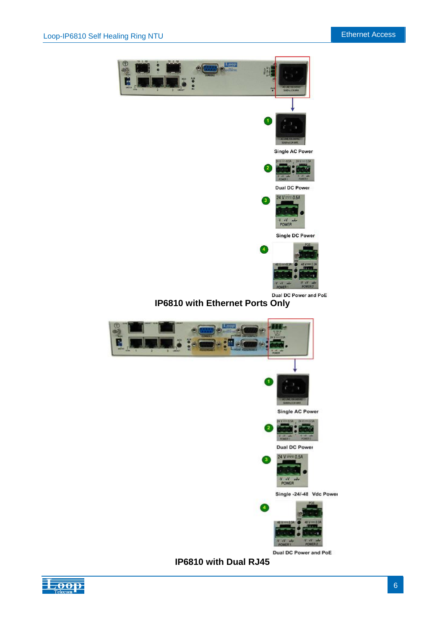

 $V + V$ 

Single -24/-48 Vdc Power



Dual DC Power and PoE



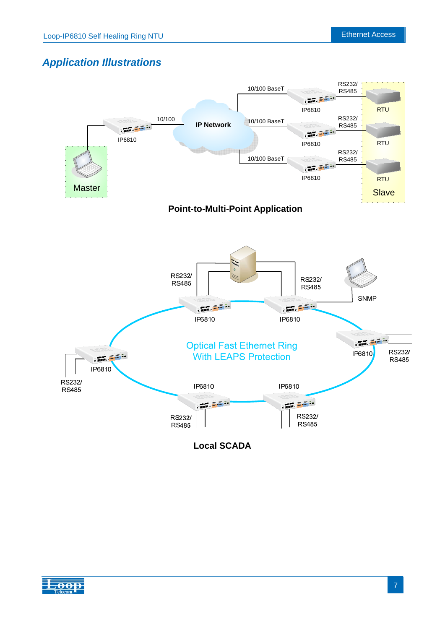RS232/

# *Application Illustrations*



**Local SCADA** 

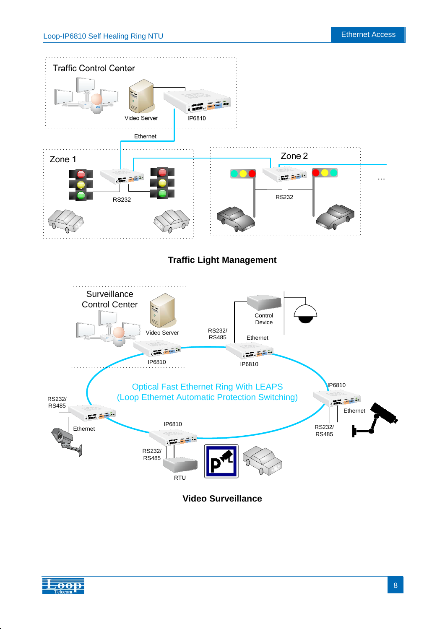

<del>D O I</del>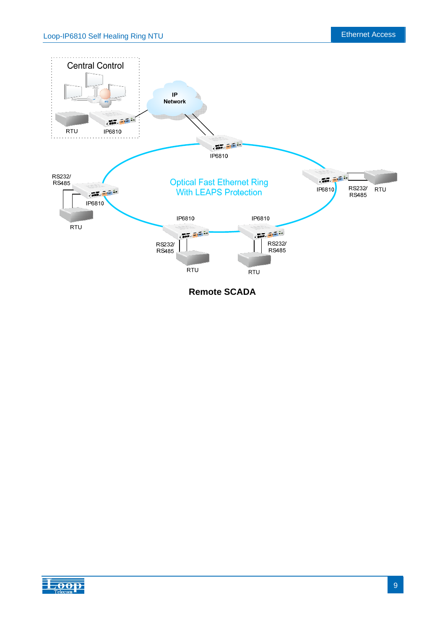

**Remote SCADA**